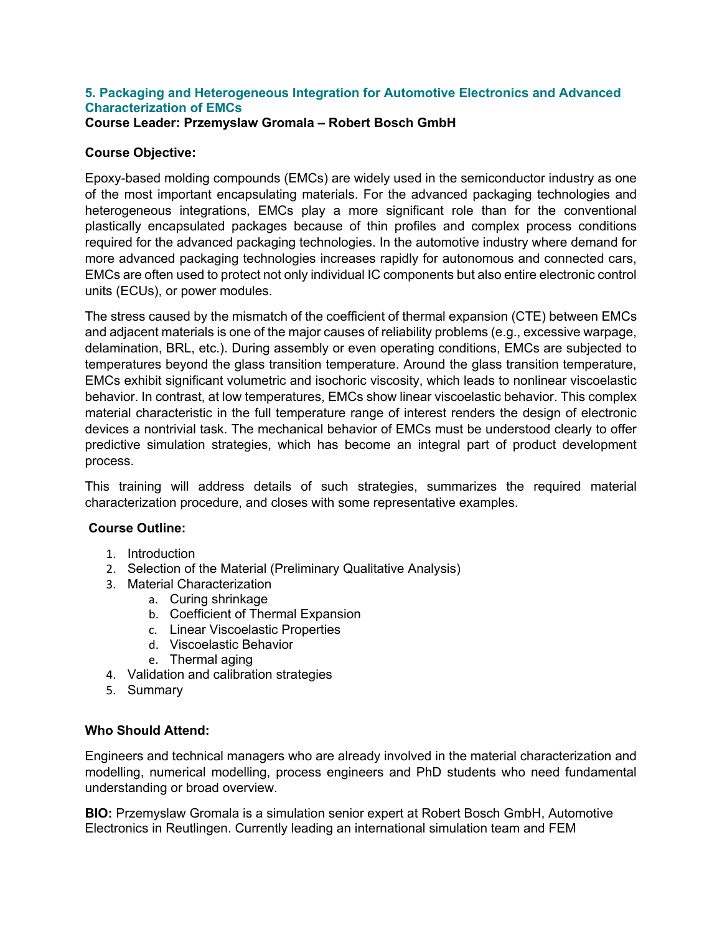## **5. Packaging and Heterogeneous Integration for Automotive Electronics and Advanced Characterization of EMCs**

**Course Leader: Przemyslaw Gromala – Robert Bosch GmbH**

## **Course Objective:**

Epoxy-based molding compounds (EMCs) are widely used in the semiconductor industry as one of the most important encapsulating materials. For the advanced packaging technologies and heterogeneous integrations, EMCs play a more significant role than for the conventional plastically encapsulated packages because of thin profiles and complex process conditions required for the advanced packaging technologies. In the automotive industry where demand for more advanced packaging technologies increases rapidly for autonomous and connected cars, EMCs are often used to protect not only individual IC components but also entire electronic control units (ECUs), or power modules.

The stress caused by the mismatch of the coefficient of thermal expansion (CTE) between EMCs and adjacent materials is one of the major causes of reliability problems (e.g., excessive warpage, delamination, BRL, etc.). During assembly or even operating conditions, EMCs are subjected to temperatures beyond the glass transition temperature. Around the glass transition temperature, EMCs exhibit significant volumetric and isochoric viscosity, which leads to nonlinear viscoelastic behavior. In contrast, at low temperatures, EMCs show linear viscoelastic behavior. This complex material characteristic in the full temperature range of interest renders the design of electronic devices a nontrivial task. The mechanical behavior of EMCs must be understood clearly to offer predictive simulation strategies, which has become an integral part of product development process.

This training will address details of such strategies, summarizes the required material characterization procedure, and closes with some representative examples.

## **Course Outline:**

- 1. Introduction
- 2. Selection of the Material (Preliminary Qualitative Analysis)
- 3. Material Characterization
	- a. Curing shrinkage
	- b. Coefficient of Thermal Expansion
	- c. Linear Viscoelastic Properties
	- d. Viscoelastic Behavior
	- e. Thermal aging
- 4. Validation and calibration strategies
- 5. Summary

## **Who Should Attend:**

Engineers and technical managers who are already involved in the material characterization and modelling, numerical modelling, process engineers and PhD students who need fundamental understanding or broad overview.

**BIO:** Przemyslaw Gromala is a simulation senior expert at Robert Bosch GmbH, Automotive Electronics in Reutlingen. Currently leading an international simulation team and FEM